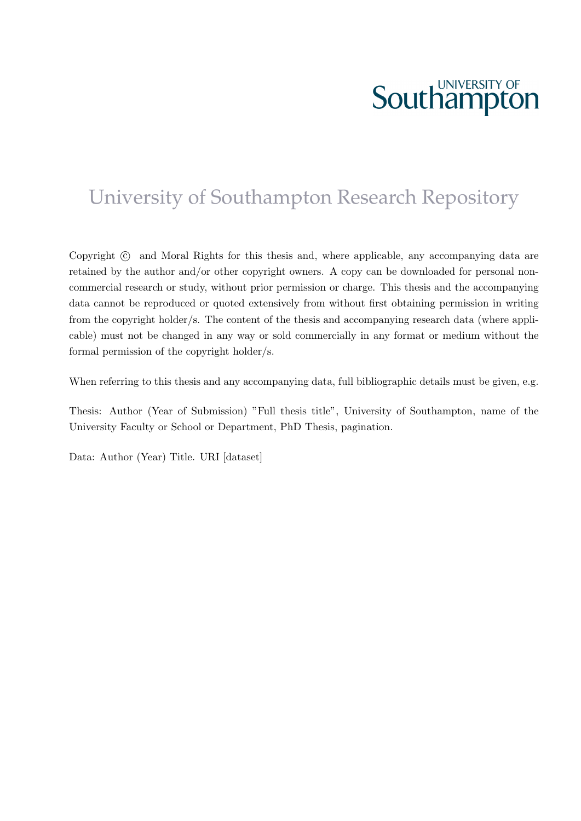# **Southampton**

### University of Southampton Research Repository

Copyright  $\odot$  and Moral Rights for this thesis and, where applicable, any accompanying data are retained by the author and/or other copyright owners. A copy can be downloaded for personal noncommercial research or study, without prior permission or charge. This thesis and the accompanying data cannot be reproduced or quoted extensively from without first obtaining permission in writing from the copyright holder/s. The content of the thesis and accompanying research data (where applicable) must not be changed in any way or sold commercially in any format or medium without the formal permission of the copyright holder/s.

When referring to this thesis and any accompanying data, full bibliographic details must be given, e.g.

Thesis: Author (Year of Submission) "Full thesis title", University of Southampton, name of the University Faculty or School or Department, PhD Thesis, pagination.

Data: Author (Year) Title. URI [dataset]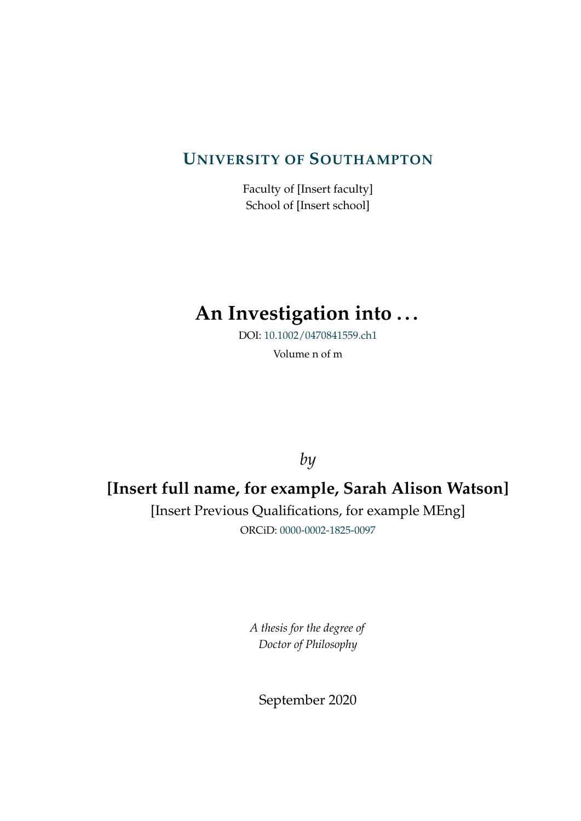#### **UNIVERSITY OF S[OUTHAMPTON](http://www.southampton.ac.uk)**

Faculty of [Insert faculty] School of [Insert school]

### **An Investigation into . . .**

DOI: [10.1002/0470841559.ch1](http://doi.org/10.1002/0470841559.ch1)

Volume n of m

*by*

### **[Insert full name, for example, Sarah Alison Watson]**

[Insert Previous Qualifications, for example MEng] ORCiD: [0000-0002-1825-0097](http://orcid.org/0000-0002-1825-0097)

> *A thesis for the degree of Doctor of Philosophy*

September 2020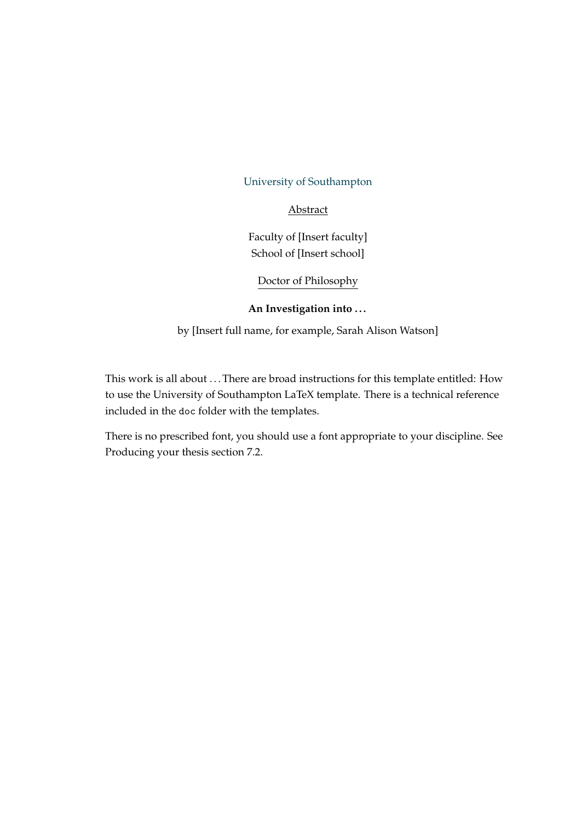#### [University of Southampton](http://www.southampton.ac.uk)

#### Abstract

Faculty of [Insert faculty] School of [Insert school]

Doctor of Philosophy

#### **An Investigation into . . .**

by [Insert full name, for example, Sarah Alison Watson]

This work is all about ... There are broad instructions for this template entitled: How to use the University of Southampton LaTeX template. There is a technical reference included in the doc folder with the templates.

There is no prescribed font, you should use a font appropriate to your discipline. See Producing your thesis section 7.2.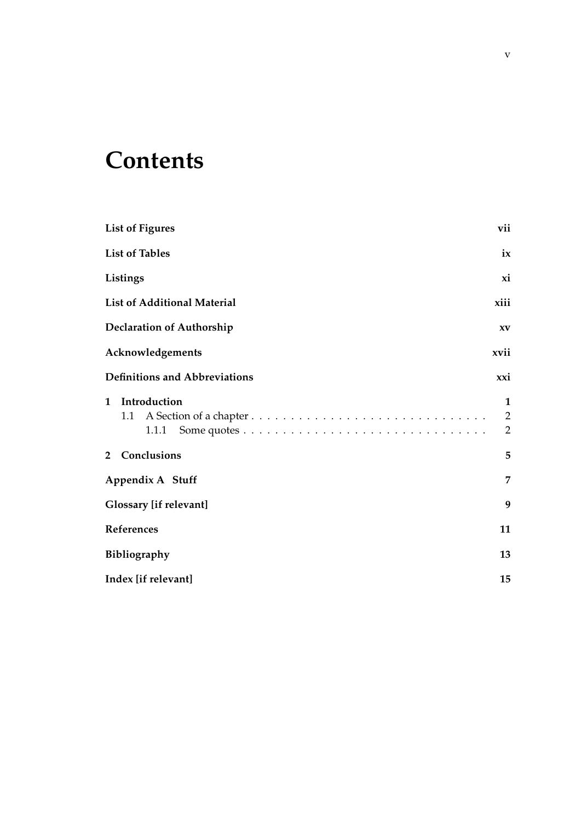### **Contents**

| <b>List of Figures</b>                       | vii                                   |
|----------------------------------------------|---------------------------------------|
| <b>List of Tables</b>                        | ix                                    |
| Listings                                     | xi                                    |
| <b>List of Additional Material</b>           | xiii                                  |
| <b>Declaration of Authorship</b>             | XV                                    |
| Acknowledgements                             | xvii                                  |
| <b>Definitions and Abbreviations</b>         | xxi                                   |
| Introduction<br>$\mathbf{1}$<br>1.1<br>1.1.1 | 1<br>$\overline{2}$<br>$\overline{2}$ |
| 2 Conclusions                                | 5                                     |
| Appendix A Stuff                             | 7                                     |
| <b>Glossary</b> [if relevant]                | 9                                     |
| References                                   | 11                                    |
| Bibliography                                 | 13                                    |
| Index [if relevant]                          | 15                                    |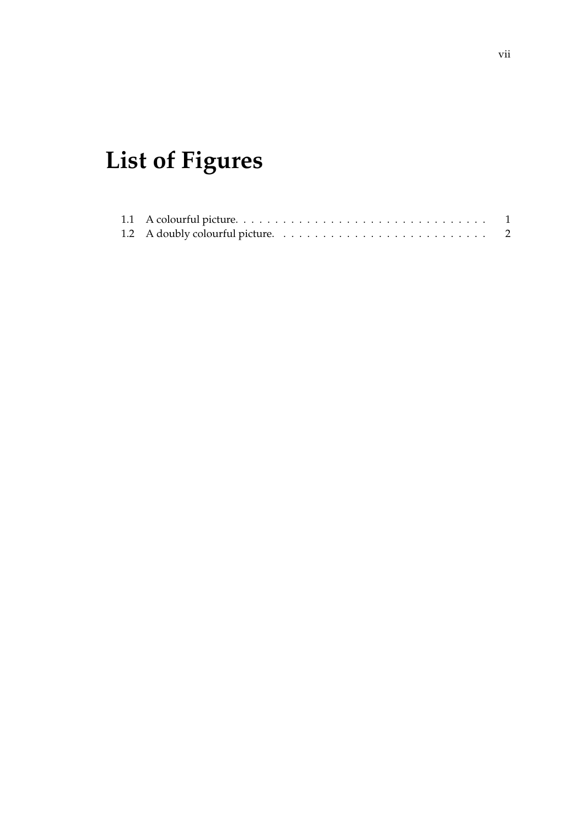## <span id="page-8-0"></span>**List of Figures**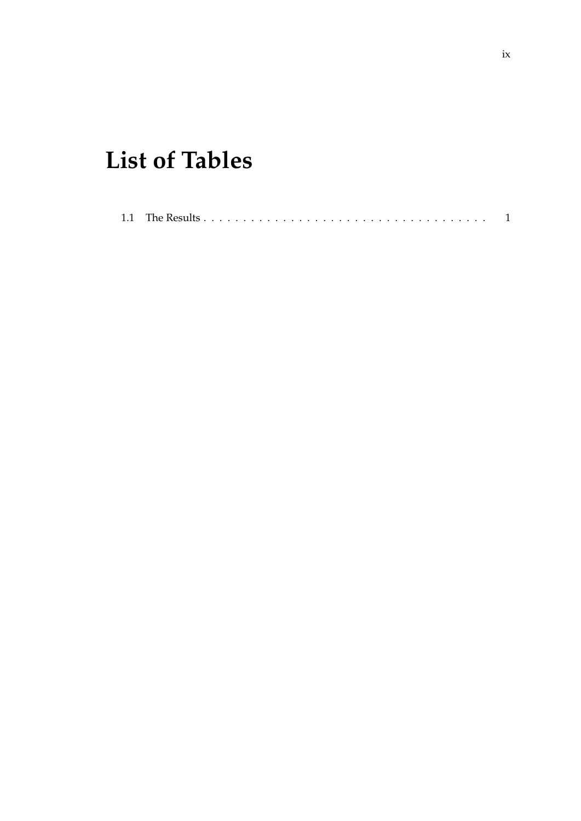## <span id="page-10-0"></span>**List of Tables**

|--|--|--|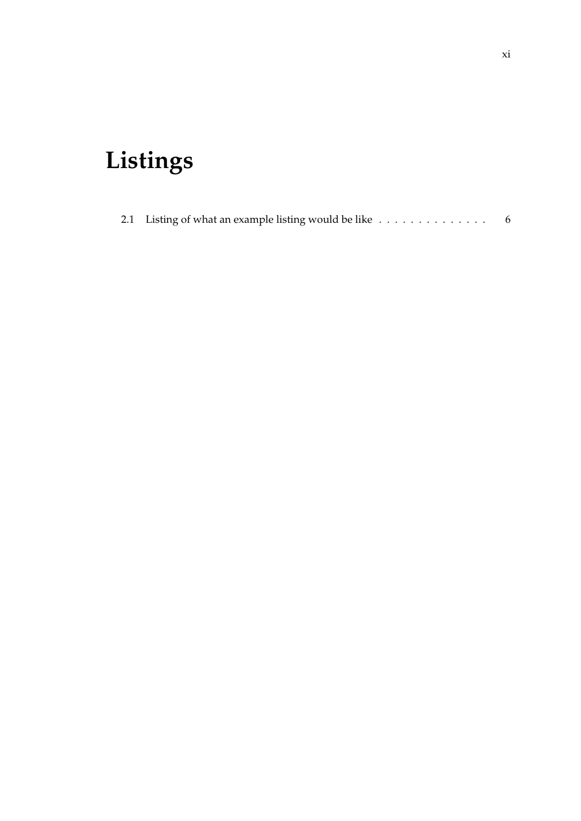## <span id="page-12-0"></span>**Listings**

| 2.1 Listing of what an example listing would be like $\dots \dots \dots \dots \dots$ |  |  |  |  |  |  |  |  |  |
|--------------------------------------------------------------------------------------|--|--|--|--|--|--|--|--|--|
|                                                                                      |  |  |  |  |  |  |  |  |  |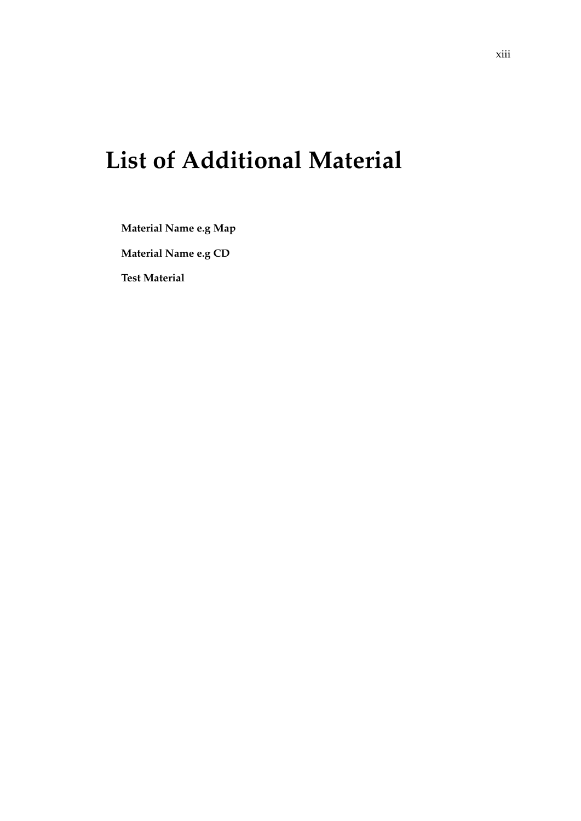### <span id="page-14-0"></span>**List of Additional Material**

**Material Name e.g Map**

**Material Name e.g CD**

**Test Material**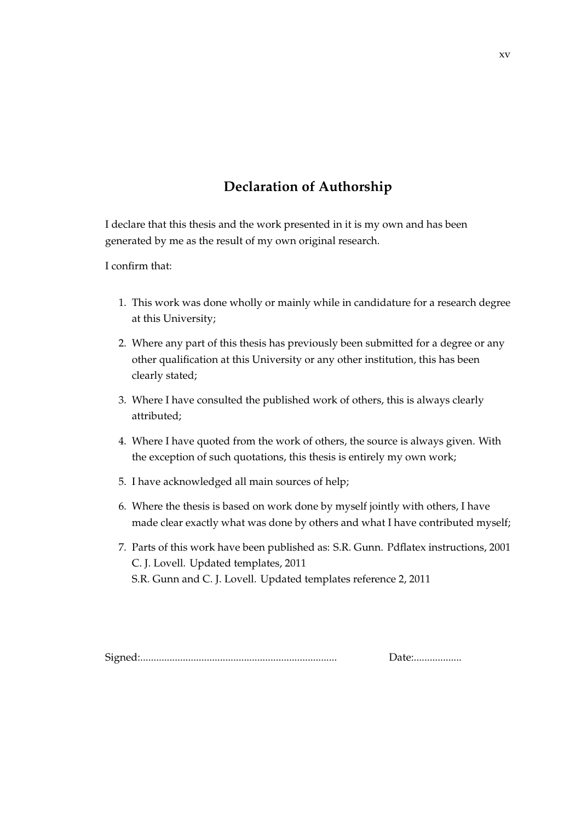#### **Declaration of Authorship**

<span id="page-16-0"></span>I declare that this thesis and the work presented in it is my own and has been generated by me as the result of my own original research.

I confirm that:

- 1. This work was done wholly or mainly while in candidature for a research degree at this University;
- 2. Where any part of this thesis has previously been submitted for a degree or any other qualification at this University or any other institution, this has been clearly stated;
- 3. Where I have consulted the published work of others, this is always clearly attributed;
- 4. Where I have quoted from the work of others, the source is always given. With the exception of such quotations, this thesis is entirely my own work;
- 5. I have acknowledged all main sources of help;
- 6. Where the thesis is based on work done by myself jointly with others, I have made clear exactly what was done by others and what I have contributed myself;
- <span id="page-16-1"></span>7. Parts of this work have been published as: S.R. Gunn. Pdflatex instructions, 2001 C. J. Lovell. Updated templates, 2011 S.R. Gunn and C. J. Lovell. Updated templates reference 2, 2011

Signed:.......................................................................... Date:..................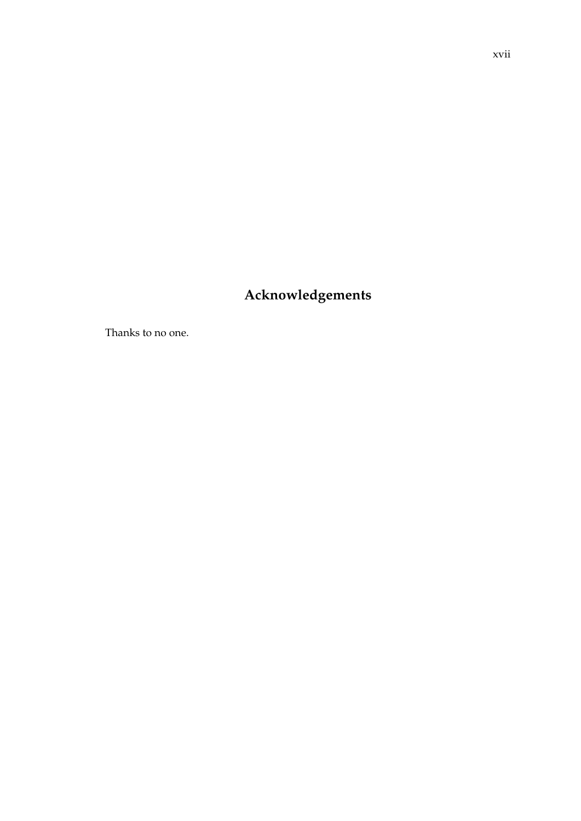### <span id="page-18-0"></span>Acknowledgements

Thanks to no one.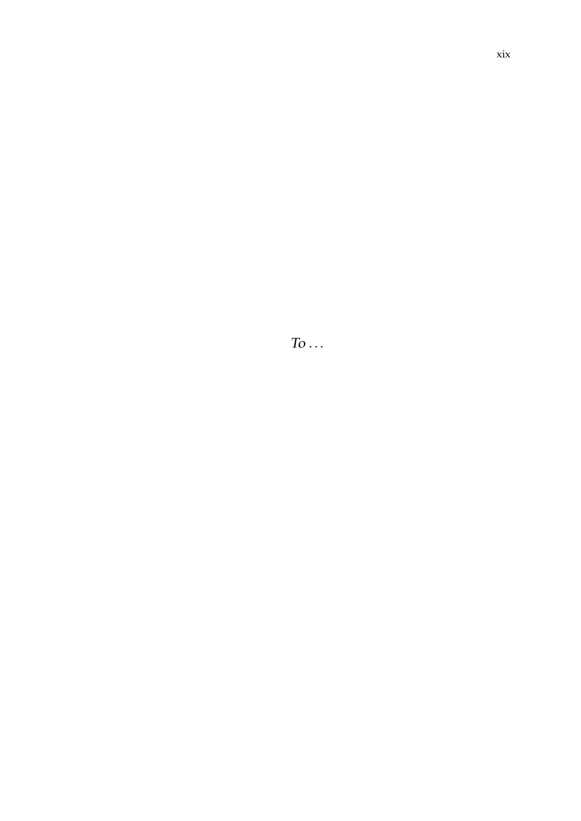$To \dots$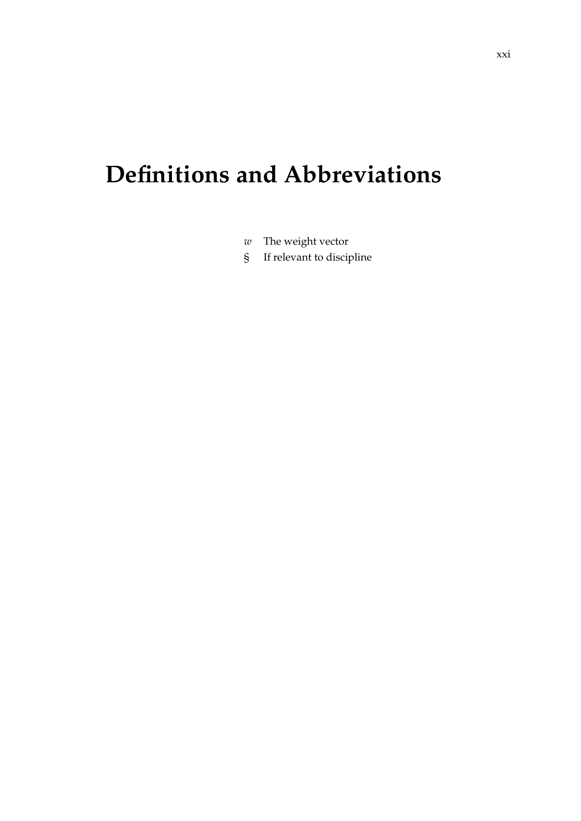## <span id="page-22-0"></span>**Definitions and Abbreviations**

- *w* The weight vector
- § If relevant to discipline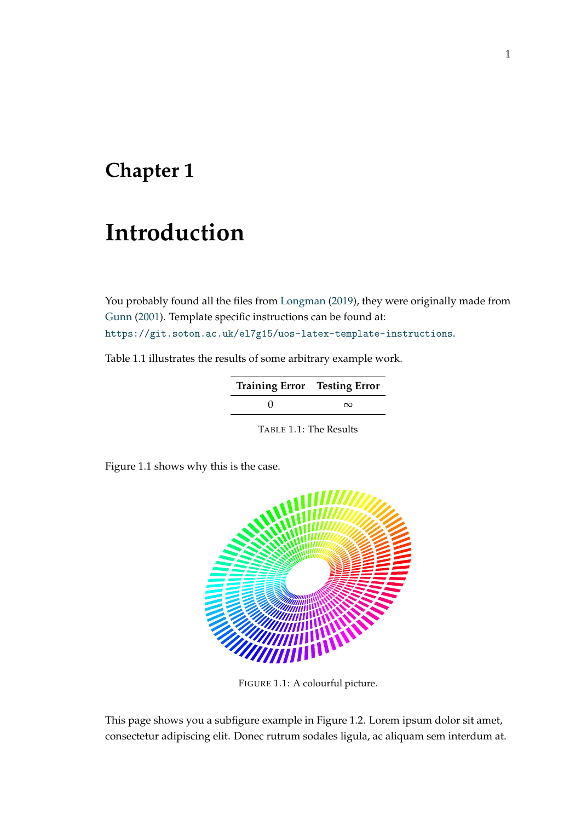### <span id="page-24-0"></span>**Chapter 1**

### **Introduction**

You probably found all the files from [Longman](#page-34-1) [\(2019\)](#page-34-1), they were originally made from [Gunn](#page-16-1) [\(2001\)](#page-16-1). Template specific instructions can be found at: <https://git.soton.ac.uk/el7g15/uos-latex-template-instructions>.

<span id="page-24-2"></span>Table [1.1](#page-24-2) illustrates the results of some arbitrary example work.

| <b>Training Error</b> Testing Error |          |  |  |  |  |  |  |  |
|-------------------------------------|----------|--|--|--|--|--|--|--|
|                                     | $\infty$ |  |  |  |  |  |  |  |

TABLE 1.1: The Results

<span id="page-24-1"></span>Figure [1.1](#page-24-1) shows why this is the case.



FIGURE 1.1: A colourful picture.

This page shows you a subfigure example in Figure [1.2.](#page-25-2) Lorem ipsum dolor sit amet, consectetur adipiscing elit. Donec rutrum sodales ligula, ac aliquam sem interdum at.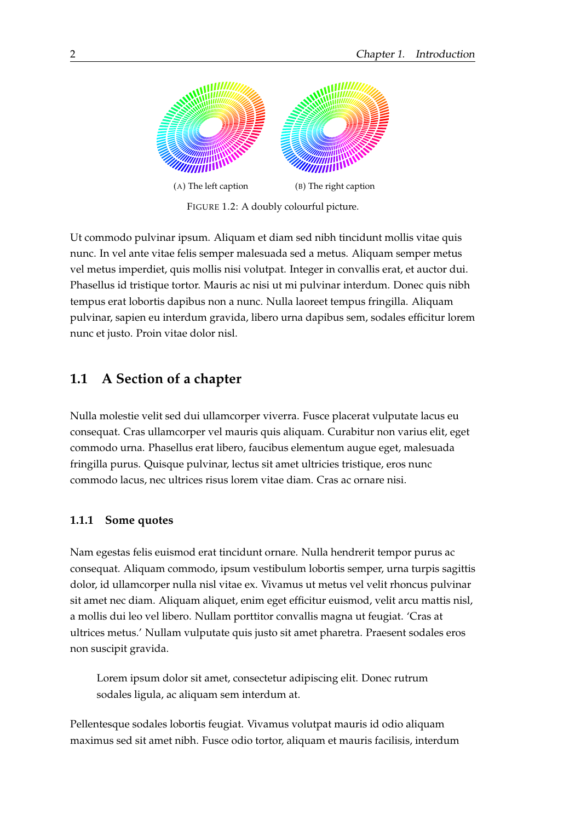<span id="page-25-2"></span>

FIGURE 1.2: A doubly colourful picture.

Ut commodo pulvinar ipsum. Aliquam et diam sed nibh tincidunt mollis vitae quis nunc. In vel ante vitae felis semper malesuada sed a metus. Aliquam semper metus vel metus imperdiet, quis mollis nisi volutpat. Integer in convallis erat, et auctor dui. Phasellus id tristique tortor. Mauris ac nisi ut mi pulvinar interdum. Donec quis nibh tempus erat lobortis dapibus non a nunc. Nulla laoreet tempus fringilla. Aliquam pulvinar, sapien eu interdum gravida, libero urna dapibus sem, sodales efficitur lorem nunc et justo. Proin vitae dolor nisl.

#### <span id="page-25-0"></span>**1.1 A Section of a chapter**

Nulla molestie velit sed dui ullamcorper viverra. Fusce placerat vulputate lacus eu consequat. Cras ullamcorper vel mauris quis aliquam. Curabitur non varius elit, eget commodo urna. Phasellus erat libero, faucibus elementum augue eget, malesuada fringilla purus. Quisque pulvinar, lectus sit amet ultricies tristique, eros nunc commodo lacus, nec ultrices risus lorem vitae diam. Cras ac ornare nisi.

#### <span id="page-25-1"></span>**1.1.1 Some quotes**

Nam egestas felis euismod erat tincidunt ornare. Nulla hendrerit tempor purus ac consequat. Aliquam commodo, ipsum vestibulum lobortis semper, urna turpis sagittis dolor, id ullamcorper nulla nisl vitae ex. Vivamus ut metus vel velit rhoncus pulvinar sit amet nec diam. Aliquam aliquet, enim eget efficitur euismod, velit arcu mattis nisl, a mollis dui leo vel libero. Nullam porttitor convallis magna ut feugiat. 'Cras at ultrices metus.' Nullam vulputate quis justo sit amet pharetra. Praesent sodales eros non suscipit gravida.

Lorem ipsum dolor sit amet, consectetur adipiscing elit. Donec rutrum sodales ligula, ac aliquam sem interdum at.

Pellentesque sodales lobortis feugiat. Vivamus volutpat mauris id odio aliquam maximus sed sit amet nibh. Fusce odio tortor, aliquam et mauris facilisis, interdum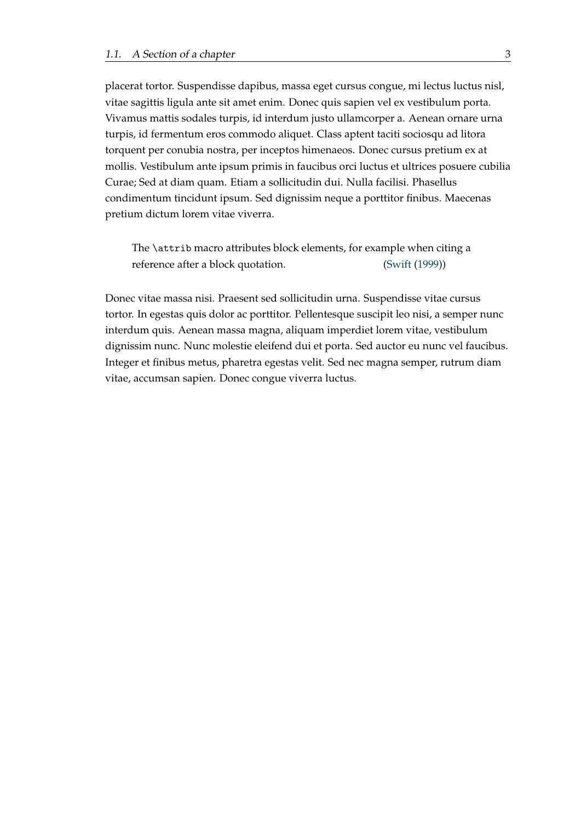placerat tortor. Suspendisse dapibus, massa eget cursus congue, mi lectus luctus nisl, vitae sagittis ligula ante sit amet enim. Donec quis sapien vel ex vestibulum porta. Vivamus mattis sodales turpis, id interdum justo ullamcorper a. Aenean ornare urna turpis, id fermentum eros commodo aliquet. Class aptent taciti sociosqu ad litora torquent per conubia nostra, per inceptos himenaeos. Donec cursus pretium ex at mollis. Vestibulum ante ipsum primis in faucibus orci luctus et ultrices posuere cubilia Curae; Sed at diam quam. Etiam a sollicitudin dui. Nulla facilisi. Phasellus condimentum tincidunt ipsum. Sed dignissim neque a porttitor finibus. Maecenas pretium dictum lorem vitae viverra.

The \attrib macro attributes block elements, for example when citing a reference after a block quotation. [\(Swift](#page-34-2) [\(1999\)](#page-34-2))

Donec vitae massa nisi. Praesent sed sollicitudin urna. Suspendisse vitae cursus tortor. In egestas quis dolor ac porttitor. Pellentesque suscipit leo nisi, a semper nunc interdum quis. Aenean massa magna, aliquam imperdiet lorem vitae, vestibulum dignissim nunc. Nunc molestie eleifend dui et porta. Sed auctor eu nunc vel faucibus. Integer et finibus metus, pharetra egestas velit. Sed nec magna semper, rutrum diam vitae, accumsan sapien. Donec congue viverra luctus.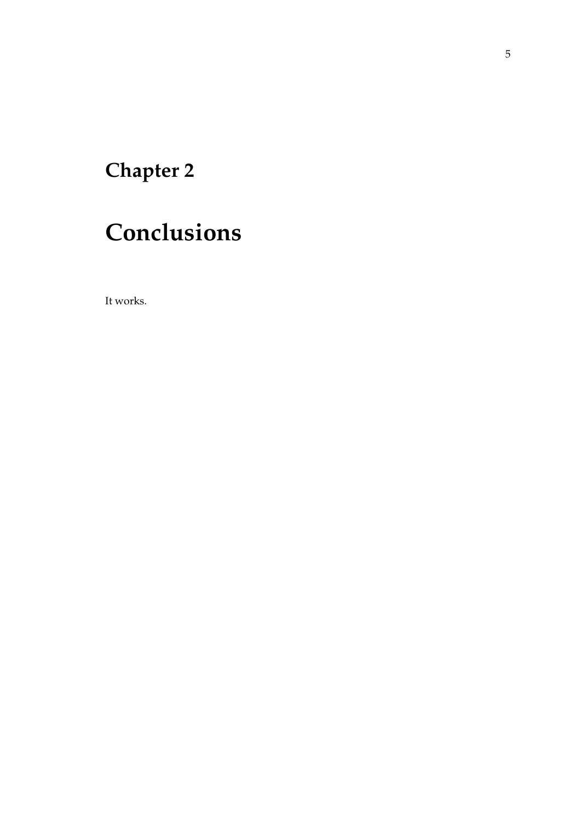### <span id="page-28-0"></span>**Chapter 2**

## **Conclusions**

It works.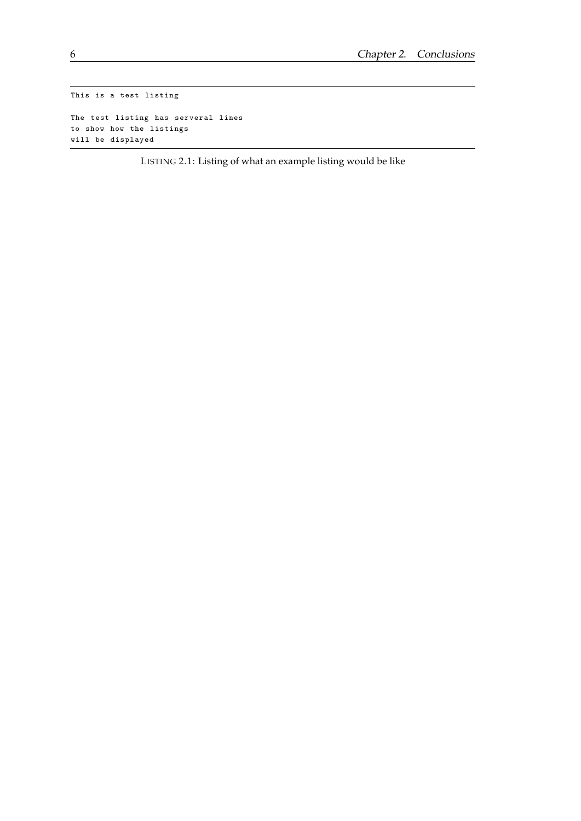```
This is a test listing
The test listing has serveral lines
to show how the listings
will be displayed
```
LISTING 2.1: Listing of what an example listing would be like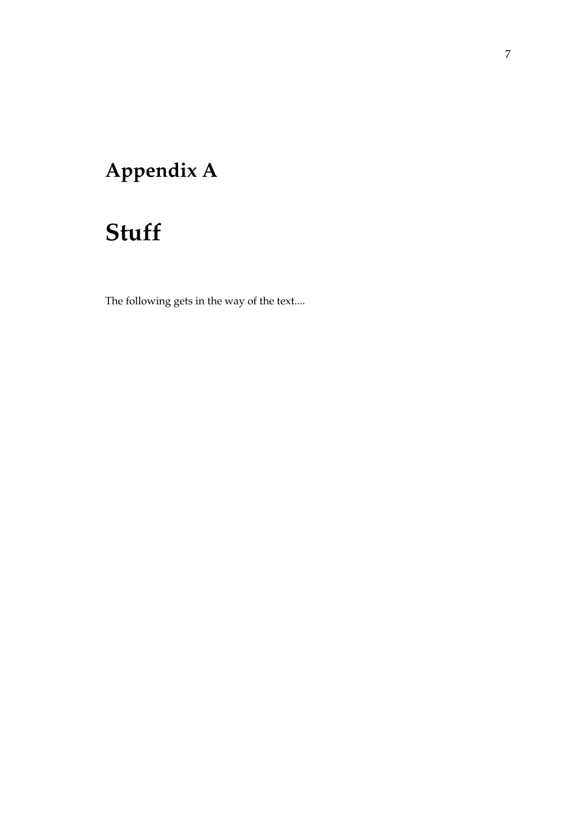### <span id="page-30-0"></span>**Appendix A**

### **Stuff**

The following gets in the way of the text....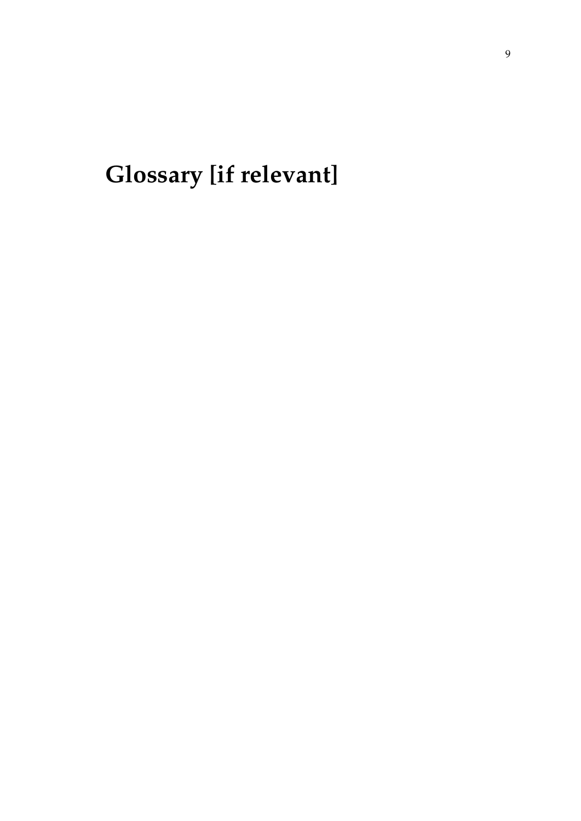<span id="page-32-0"></span>**Glossary [if relevant]**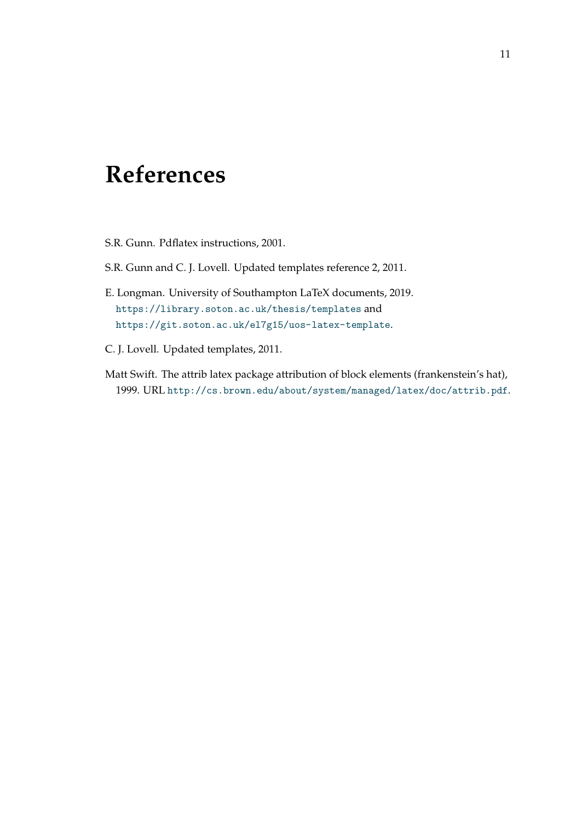### <span id="page-34-0"></span>**References**

- S.R. Gunn. Pdflatex instructions, 2001.
- S.R. Gunn and C. J. Lovell. Updated templates reference 2, 2011.
- <span id="page-34-1"></span>E. Longman. University of Southampton LaTeX documents, 2019. <https://library.soton.ac.uk/thesis/templates> and <https://git.soton.ac.uk/el7g15/uos-latex-template>.
- C. J. Lovell. Updated templates, 2011.
- <span id="page-34-2"></span>Matt Swift. The attrib latex package attribution of block elements (frankenstein's hat), 1999. URL <http://cs.brown.edu/about/system/managed/latex/doc/attrib.pdf>.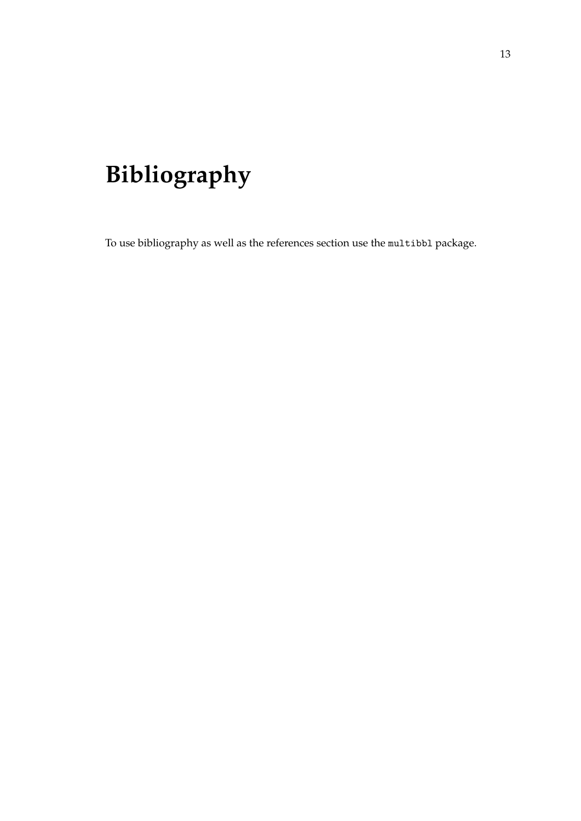## <span id="page-36-0"></span>**Bibliography**

To use bibliography as well as the references section use the multibbl package.